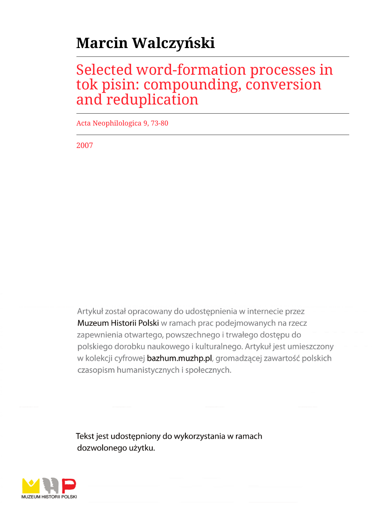# **Marcin Walczyński**

# Selected word-formation processes in tok pisin: compounding, conversion and reduplication

Acta Neophilologica 9, 73-80

2007

Artykuł został opracowany do udostępnienia w internecie przez Muzeum Historii Polski w ramach prac podejmowanych na rzecz zapewnienia otwartego, powszechnego i trwałego dostępu do polskiego dorobku naukowego i kulturalnego. Artykuł jest umieszczony w kolekcji cyfrowej bazhum.muzhp.pl, gromadzącej zawartość polskich czasopism humanistycznych i społecznych.

Tekst jest udostępniony do wykorzystania w ramach dozwolonego użytku.

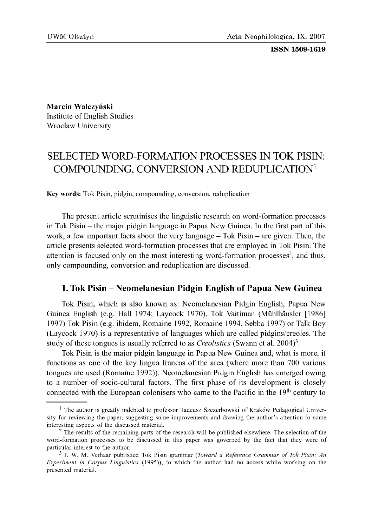ISSN 1509-1619

Marcin Walczyński Institute of English Studies Wrocław University

# SELECTED WORD-FORMATION PROCESSES IN TOK PISIN: COMPOUNDING, CONVERSION AND REDUPLICATION1

Key words: Tok Pisin, pidgin, compounding, conversion, reduplication

The present article scrutinises the linguistic research on word-formation processes in Tok Pisin - the major pidgin language in Papua New Guinea. In the first part of this work, a few important facts about the very language  $-$  Tok Pisin  $-$  are given. Then, the article presents selected word-formation processes that are employed in Tok Pisin. The attention is focused only on the most interesting word-formation processes<sup>2</sup>, and thus, only compounding, conversion and reduplication are discussed.

### **1. Tok Pisin - Neomelanesian Pidgin English of Papua New Guinea**

Tok Pisin, which is also known as: Neomelanesian Pidgin English, Papua New Guinea English (e.g. Hall 1974; Laycock 1970), Tok Vaitiman (Mühlhäusler [1986] 1997) Tok Pisin (e.g. ibidem, Romaine 1992, Romaine 1994, Sebba 1997) or Talk Boy (Laycock 1970) is a representative of languages which are called pidgins/creoles. The study of these tongues is usually referred to as *Creolistics* (Swann et al. 2004)3.

Tok Pisin is the major pidgin language in Papua New Guinea and, what is more, it functions as one of the key lingua francas of the area (where more than 700 various tongues are used (Romaine 1992)). Neomelanesian Pidgin English has emerged owing to a number of socio-cultural factors. The first phase of its development is closely connected with the European colonisers who came to the Pacific in the 19<sup>th</sup> century to

 $<sup>1</sup>$  The author is greatly indebted to professor Tadeusz Szczerbowski of Kraków Pedagogical Univer-</sup> sity for reviewing the paper, suggesting some improvements and drawing the author's attention to some interesting aspects of the discussed material.

 $<sup>2</sup>$  The results of the remaining parts of the research will be published elsewhere. The selection of the</sup> word-formation processes to be discussed in this paper was governed by the fact that they were of particular interest to the author.

<sup>3</sup> J. W. M. Verhaar published Tok Pisin grammar *(Toward a Reference Grammar of Tok Pisin: An Experiment in Corpus Linguistics* (1995)), to which the author had no access while working on the presented material.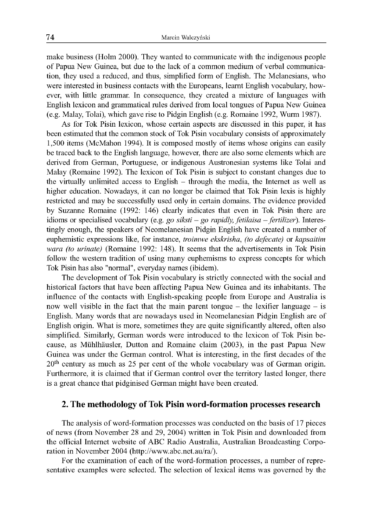make business (Holm 2000). They wanted to communicate with the indigenous people of Papua New Guinea, but due to the lack of a common medium of verbal communication, they used a reduced, and thus, simplified form of English. The Melanesians, who were interested in business contacts with the Europeans, learnt English vocabulary, however, with little grammar. In consequence, they created a mixture of languages with English lexicon and grammatical rules derived from local tongues of Papua New Guinea (e.g. Malay, Tolai), which gave rise to Pidgin English (e.g. Romaine 1992, Wurm 1987).

As for Tok Pisin lexicon, whose certain aspects are discussed in this paper, it has been estimated that the common stock of Tok Pisin vocabulary consists of approximately 1,500 items (McMahon 1994). It is composed mostly of items whose origins can easily be traced back to the English language, however, there are also some elements which are derived from German, Portuguese, or indigenous Austronesian systems like Tolai and Malay (Romaine 1992). The lexicon of Tok Pisin is subject to constant changes due to the virtually unlimited access to English – through the media, the Internet as well as higher education. Nowadays, it can no longer be claimed that Tok Pisin lexis is highly restricted and may be successfully used only in certain domains. The evidence provided by Suzanne Romaine (1992: 146) clearly indicates that even in Tok Pisin there are idioms or specialised vocabulary (e.g. *go siksti - go rapidly, fetilaisa - fertilizer).* Interestingly enough, the speakers of Neomelanesian Pidgin English have created a number of euphemistic expressions like, for instance, *troimwe ekskrisha, (to defecate)* or *kapsaitim wara (to urinate)* (Romaine 1992: 148). It seems that the advertisements in Tok Pisin follow the western tradition of using many euphemisms to express concepts for which Tok Pisin has also "normal", everyday names (ibidem).

The development of Tok Pisin vocabulary is strictly connected with the social and historical factors that have been affecting Papua New Guinea and its inhabitants. The influence of the contacts with English-speaking people from Europe and Australia is now well visible in the fact that the main parent tongue - the lexifier language - is English. Many words that are nowadays used in Neomelanesian Pidgin English are of English origin. What is more, sometimes they are quite significantly altered, often also simplified. Similarly, German words were introduced to the lexicon of Tok Pisin because, as Mühlhäusler, Dutton and Romaine claim (2003), in the past Papua New Guinea was under the German control. What is interesting, in the first decades of the  $20<sup>th</sup>$  century as much as 25 per cent of the whole vocabulary was of German origin. Furthermore, it is claimed that if German control over the territory lasted longer, there is a great chance that pidginised German might have been created.

#### **2. The methodology of Tok Pisin word-formation processes research**

The analysis of word-formation processes was conducted on the basis of 17 pieces of news (from November 28 and 29, 2004) written in Tok Pisin and downloaded from the official Internet website of ABC Radio Australia, Australian Broadcasting Corporation in November 2004 [\(http://www.abc.net.au/ra/](http://www.abc.net.au/ra/)).

For the examination of each of the word-formation processes, a number of representative examples were selected. The selection of lexical items was governed by the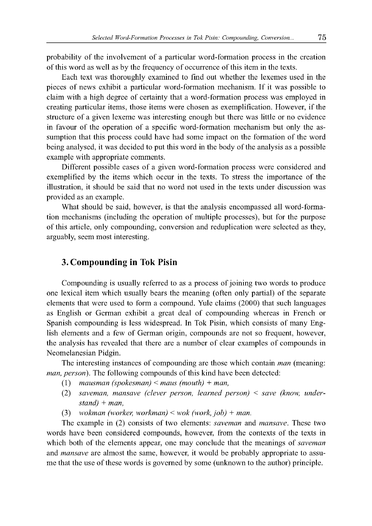probability of the involvement of a particular word-formation process in the creation of this word as well as by the frequency of occurrence of this item in the texts.

Each text was thoroughly examined to find out whether the lexemes used in the pieces of news exhibit a particular word-formation mechanism. If it was possible to claim with a high degree of certainty that a word-formation process was employed in creating particular items, those items were chosen as exemplification. However, if the structure of a given lexeme was interesting enough but there was little or no evidence in favour of the operation of a specific word-formation mechanism but only the assumption that this process could have had some impact on the formation of the word being analysed, it was decided to put this word in the body of the analysis as a possible example with appropriate comments.

Different possible cases of a given word-formation process were considered and exemplified by the items which occur in the texts. To stress the importance of the illustration, it should be said that no word not used in the texts under discussion was provided as an example.

What should be said, however, is that the analysis encompassed all word-formation mechanisms (including the operation of multiple processes), but for the purpose of this article, only compounding, conversion and reduplication were selected as they, arguably, seem most interesting.

## **3. Compounding in Tok Pisin**

Compounding is usually referred to as a process of joining two words to produce one lexical item which usually bears the meaning (often only partial) of the separate elements that were used to form a compound. Yule claims (2000) that such languages as English or German exhibit a great deal of compounding whereas in French or Spanish compounding is less widespread. In Tok Pisin, which consists of many English elements and a few of German origin, compounds are not so frequent, however, the analysis has revealed that there are a number of clear examples of compounds in Neomelanesian Pidgin.

The interesting instances of compounding are those which contain *man* (meaning: *man, person).* The following compounds of this kind have been detected:

- (1) *mausman (spokesman)* < *maus (mouth) + man,*
- (2) *saveman, mansave (clever person, learned person)* < *save (know, understand) + man,*
- (3) *wokman (worker, workman)* < *wok (work, job) + man.*

The example in (2) consists of two elements: *saveman* and *mansave*. These two words have been considered compounds, however, from the contexts of the texts in which both of the elements appear, one may conclude that the meanings of *saveman* and *mansave* are almost the same, however, it would be probably appropriate to assume that the use of these words is governed by some (unknown to the author) principle.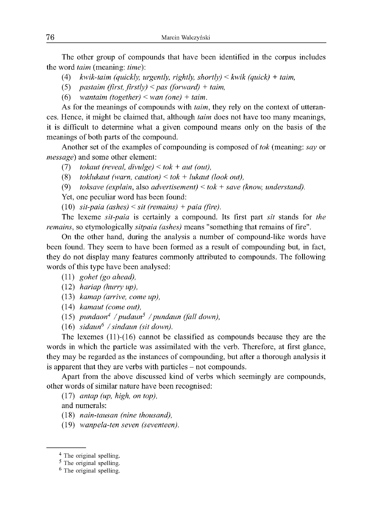The other group of compounds that have been identified in the corpus includes the word *taim* (meaning: *time*):

- (4) *kwik-taim (quickly, urgently, rightly, shortly)* < *kwik (quick) + taim,*
- (5) *pastaim (first, firstly)* < *pas (forward) + taim,*
- (6) *wantaim (together)* < *wan (one) + taim.*

As for the meanings of compounds with *taim,* they rely on the context of utterances. Hence, it might be claimed that, although *taim* does not have too many meanings, it is difficult to determine what a given compound means only on the basis of the meanings of both parts of the compound.

Another set of the examples of compounding is composed of *tok* (meaning: *say* or *message*) and some other element:

- (7) *tokaut (reveal, divulge)* < *tok + aut (out),*
- (8) *toklukaut (warn, caution)* < *tok + lukaut (look out),*
- (9) *toksave (explain,* also *advertisement)* < *tok + save (know, understand).*

Yet, one peculiar word has been found:

(10) *sit-paia (ashes)* < *sit (remains) + paia (fire).*

The lexeme *sit-paia* is certainly a compound. Its first part *sit* stands for *the remains*, so etymologically *sitpaia (ashes)* means "something that remains of fire".

On the other hand, during the analysis a number of compound-like words have been found. They seem to have been formed as a result of compounding but, in fact, they do not display many features commonly attributed to compounds. The following words of this type have been analysed:

- (11) *gohet (go ahead),*
- (12) *hariap (hurry up),*
- (13) *kamap (arrive, come up),*
- (14) *kamaut (come out),*
- (15) *pundaon4 / pudaun5 / pundaun (fall down),*
- (16) *sidaun6 / sindaun (sit down).*

The lexemes (11)-(16) cannot be classified as compounds because they are the words in which the particle was assimilated with the verb. Therefore, at first glance, they may be regarded as the instances of compounding, but after a thorough analysis it is apparent that they are verbs with particles – not compounds.

Apart from the above discussed kind of verbs which seemingly are compounds, other words of similar nature have been recognised:

(17) *antap (up, high, on top),*

and numerals:

- (18) *nain-tausan (nine thousand),*
- (19) *wanpela-ten seven (seventeen).*

<sup>4</sup> The original spelling.

<sup>&</sup>lt;sup>5</sup> The original spelling.

<sup>6</sup> The original spelling.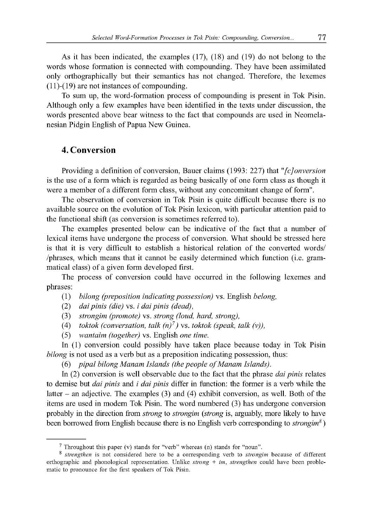**As it has been indicated, the examples (17), (18) and (19) do not belong to the words whose formation is connected with compounding. They have been assimilated only orthographically but their semantics has not changed. Therefore, the lexemes (11)-(19) are not instances of compounding.**

**To sum up, the word-formation process of compounding is present in Tok Pisin. Although only a few examples have been identified in the texts under discussion, the words presented above bear witness to the fact that compounds are used in Neomelanesian Pidgin English of Papua New Guinea.**

#### **4. Conversion**

Providing a definition of conversion, Bauer claims (1993: 227) that "*[c]onversion* **is the use of a form which is regarded as being basically of one form class as though it were a member of a different form class, without any concomitant change of form".**

**The observation of conversion in Tok Pisin is quite difficult because there is no available source on the evolution of Tok Pisin lexicon, with particular attention paid to the functional shift (as conversion is sometimes referred to).**

**The examples presented below can be indicative of the fact that a number of lexical items have undergone the process of conversion. What should be stressed here is that it is very difficult to establish a historical relation of the converted words/ /phrases, which means that it cannot be easily determined which function (i.e. grammatical class) of a given form developed first.**

**The process of conversion could have occurred in the following lexemes and phrases:**

- **(1)** *bilong (preposition indicating possession)* **vs. English** *belong,*
- **(2)** *daipinis (die)* **vs.** *i dai pinis (dead) ,*
- **(3)** *strongim (promote)* **vs.** *strong (loud, hard, strong),*
- **(4)** *toktok (conversation, talk*  $(n)^7$ *) vs. <i>toktok (speak, talk (v)),*
- **(5)** *wantaim (together)* **vs. English** *one time.*

**In (1) conversion could possibly have taken place because today in Tok Pisin** *bilong* **is not used as a verb but as a preposition indicating possession, thus:**

(6) *pipal bilong Manam Islands (the people of Manam Islands).* 

**In (2) conversion is well observable due to the fact that the phrase** *dai pinis* **relates to demise but** *dai pinis* **and** *i dai pinis* **differ in function: the former is a verb while the latter - an adjective. The examples (3) and (4) exhibit conversion, as well. Both of the items are used in modern Tok Pisin. The word numbered (3) has undergone conversion probably in the direction from** *strong* **to** *strongim (strong* **is, arguably, more likely to have been borrowed from English because there is no English verb corresponding to** *strongim8* **)**

<sup>7</sup> Throughout this paper (v) stands for "verb" whereas (n) stands for "noun".

<sup>&</sup>lt;sup>8</sup> *strengthen* is not considered here to be a corresponding verb to *strongim* because of different orthographic and phonological representation. Unlike *strong + im, strengthen* could have been problematic to pronounce for the first speakers of Tok Pisin.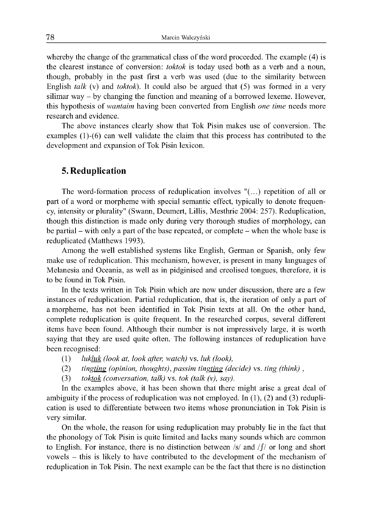whereby the change of the grammatical class of the word proceeded. The example (4) is the clearest instance of conversion: *toktok* is today used both as a verb and a noun, though, probably in the past first a verb was used (due to the similarity between English *talk* (v) and *toktok).* It could also be argued that (5) was formed in a very silimar way - by changing the function and meaning of a borrowed lexeme. However, this hypothesis of *wantaim* having been converted from English *one time* needs more research and evidence.

The above instances clearly show that Tok Pisin makes use of conversion. The examples (1)-(6) can well validate the claim that this process has contributed to the development and expansion of Tok Pisin lexicon.

#### **5. Reduplication**

The word-formation process of reduplication involves "(...) repetition of all or part of a word or morpheme with special semantic effect, typically to denote frequency, intensity or plurality" (Swann, Deumert, Lillis, Mesthrie 2004: 257). Reduplication, though this distinction is made only during very thorough studies of morphology, can be partial  $-$  with only a part of the base repeated, or complete  $-$  when the whole base is reduplicated (Matthews 1993).

Among the well established systems like English, German or Spanish, only few make use of reduplication. This mechanism, however, is present in many languages of Melanesia and Oceania, as well as in pidginised and creolised tongues, therefore, it is to be found in Tok Pisin.

In the texts written in Tok Pisin which are now under discussion, there are a few instances of reduplication. Partial reduplication, that is, the iteration of only a part of a morpheme, has not been identified in Tok Pisin texts at all. On the other hand, complete reduplication is quite frequent. In the researched corpus, several different items have been found. Although their number is not impressively large, it is worth saying that they are used quite often. The following instances of reduplication have been recognised:

- (1) *lukluk (look at, look after, watch)* vs. *luk (look),*
- (2) *tingting (opinion, thoughts), passim tingting (decide)* vs. *ting (think)* ,
- (3) *toktok (conversation, talk)* vs. *tok (talk (v), say).*

In the examples above, it has been shown that there might arise a great deal of ambiguity if the process of reduplication was not employed. In  $(1)$ ,  $(2)$  and  $(3)$  reduplication is used to differentiate between two items whose pronunciation in Tok Pisin is very similar.

On the whole, the reason for using reduplication may probably lie in the fact that the phonology of Tok Pisin is quite limited and lacks many sounds which are common to English. For instance, there is no distinction between  $/s/$  and  $/f/$  or long and short vowels - this is likely to have contributed to the development of the mechanism of reduplication in Tok Pisin. The next example can be the fact that there is no distinction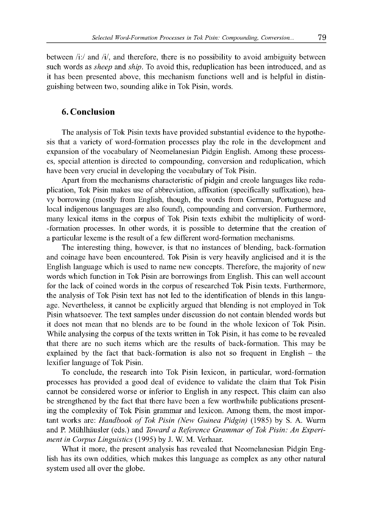between  $\pi/$ i:/ and  $\pi/$ , and therefore, there is no possibility to avoid ambiguity between such words as *sheep* and *ship.* To avoid this, reduplication has been introduced, and as it has been presented above, this mechanism functions well and is helpful in distinguishing between two, sounding alike in Tok Pisin, words.

### **6. Conclusion**

The analysis of Tok Pisin texts have provided substantial evidence to the hypothesis that a variety of word-formation processes play the role in the development and expansion of the vocabulary of Neomelanesian Pidgin English. Among these processes, special attention is directed to compounding, conversion and reduplication, which have been very crucial in developing the vocabulary of Tok Pisin.

Apart from the mechanisms characteristic of pidgin and creole languages like reduplication, Tok Pisin makes use of abbreviation, affixation (specifically suffixation), heavy borrowing (mostly from English, though, the words from German, Portuguese and local indigenous languages are also found), compounding and conversion. Furthermore, many lexical items in the corpus of Tok Pisin texts exhibit the multiplicity of word- -formation processes. In other words, it is possible to determine that the creation of a particular lexeme is the result of a few different word-formation mechanisms.

The interesting thing, however, is that no instances of blending, back-formation and coinage have been encountered. Tok Pisin is very heavily anglicised and it is the English language which is used to name new concepts. Therefore, the majority of new words which function in Tok Pisin are borrowings from English. This can well account for the lack of coined words in the corpus of researched Tok Pisin texts. Furthermore, the analysis of Tok Pisin text has not led to the identification of blends in this language. Nevertheless, it cannot be explicitly argued that blending is not employed in Tok Pisin whatsoever. The text samples under discussion do not contain blended words but it does not mean that no blends are to be found in the whole lexicon of Tok Pisin. While analysing the corpus of the texts written in Tok Pisin, it has come to be revealed that there are no such items which are the results of back-formation. This may be explained by the fact that back-formation is also not so frequent in English - the lexifier language of Tok Pisin.

To conclude, the research into Tok Pisin lexicon, in particular, word-formation processes has provided a good deal of evidence to validate the claim that Tok Pisin cannot be considered worse or inferior to English in any respect. This claim can also be strengthened by the fact that there have been a few worthwhile publications presenting the complexity of Tok Pisin grammar and lexicon. Among them, the most important works are: *Handbook of Tok Pisin (New Guinea Pidgin)* (1985) by S. A. Wurm and P. Mühlhäusler (eds.) and *Toward a Reference Grammar of Tok Pisin: An Experiment in Corpus Linguistics* (1995) by J. W. M. Verhaar.

What it more, the present analysis has revealed that Neomelanesian Pidgin English has its own oddities, which makes this language as complex as any other natural system used all over the globe.